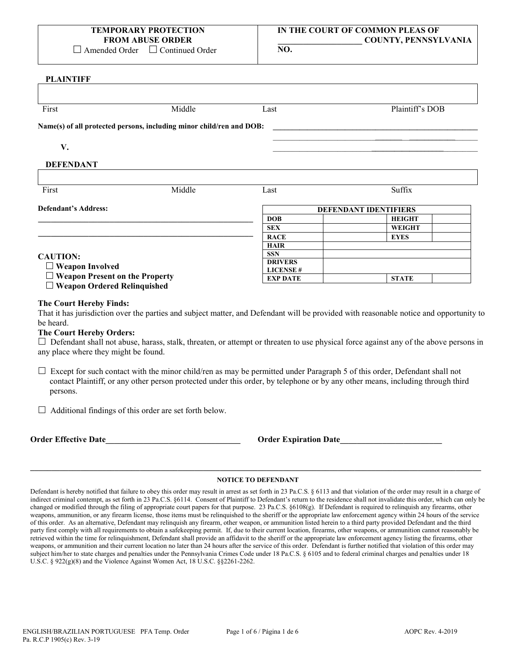| TEMPORARY PROTECTION    |
|-------------------------|
| <b>FROM ABUSE ORDER</b> |

**IN THE COURT OF COMMON PLEAS OF \_\_\_\_\_\_\_\_\_\_\_\_\_\_\_\_\_\_\_\_ COUNTY, PENNSYLVANIA**

□ Amended Order □ Continued Order

**DLAINTIFF** 

| First                                                  | Middle                                                               | Last                                                                                                                             | Plaintiff's DOB                                                                                                                             |  |  |
|--------------------------------------------------------|----------------------------------------------------------------------|----------------------------------------------------------------------------------------------------------------------------------|---------------------------------------------------------------------------------------------------------------------------------------------|--|--|
|                                                        | Name(s) of all protected persons, including minor child/ren and DOB: |                                                                                                                                  |                                                                                                                                             |  |  |
| V.                                                     |                                                                      |                                                                                                                                  |                                                                                                                                             |  |  |
| <b>DEFENDANT</b>                                       |                                                                      |                                                                                                                                  |                                                                                                                                             |  |  |
| First                                                  | Middle                                                               | Last                                                                                                                             | Suffix                                                                                                                                      |  |  |
| <b>Defendant's Address:</b>                            |                                                                      |                                                                                                                                  | <b>DEFENDANT IDENTIFIERS</b>                                                                                                                |  |  |
|                                                        |                                                                      | <b>DOB</b>                                                                                                                       | <b>HEIGHT</b>                                                                                                                               |  |  |
|                                                        |                                                                      | <b>SEX</b>                                                                                                                       | <b>WEIGHT</b>                                                                                                                               |  |  |
|                                                        |                                                                      | <b>RACE</b>                                                                                                                      | <b>EYES</b>                                                                                                                                 |  |  |
|                                                        |                                                                      | <b>HAIR</b>                                                                                                                      |                                                                                                                                             |  |  |
| <b>CAUTION:</b>                                        |                                                                      | <b>SSN</b>                                                                                                                       |                                                                                                                                             |  |  |
| $\Box$ Weapon Involved                                 |                                                                      | <b>DRIVERS</b><br><b>LICENSE#</b>                                                                                                |                                                                                                                                             |  |  |
| $\Box$ Weapon Present on the Property                  |                                                                      | <b>EXP DATE</b>                                                                                                                  | <b>STATE</b>                                                                                                                                |  |  |
| $\Box$ Weapon Ordered Relinquished                     |                                                                      |                                                                                                                                  |                                                                                                                                             |  |  |
| The Court Hereby Finds:                                |                                                                      |                                                                                                                                  | That it has jurisdiction over the parties and subject matter, and Defendant will be provided with reasonable notice and opportunity to      |  |  |
| be heard.                                              |                                                                      |                                                                                                                                  |                                                                                                                                             |  |  |
| <b>The Court Hereby Orders:</b>                        |                                                                      |                                                                                                                                  |                                                                                                                                             |  |  |
| any place where they might be found.                   |                                                                      |                                                                                                                                  | $\Box$ Defendant shall not abuse, harass, stalk, threaten, or attempt or threaten to use physical force against any of the above persons in |  |  |
| persons.                                               |                                                                      | $\Box$ Except for such contact with the minor child/ren as may be permitted under Paragraph 5 of this order, Defendant shall not | contact Plaintiff, or any other person protected under this order, by telephone or by any other means, including through third              |  |  |
|                                                        |                                                                      |                                                                                                                                  |                                                                                                                                             |  |  |
| Additional findings of this order are set forth below. |                                                                      |                                                                                                                                  |                                                                                                                                             |  |  |

# **\_\_\_\_\_\_\_\_\_\_\_\_\_\_\_\_\_\_\_\_\_\_\_\_\_\_\_\_\_\_\_\_\_\_\_\_\_\_\_\_\_\_\_\_\_\_\_\_\_\_\_\_\_\_\_\_\_\_\_\_\_\_\_\_\_\_\_\_\_\_\_\_\_\_\_\_\_\_\_\_\_\_\_\_\_\_\_\_\_\_\_\_\_\_\_\_\_\_\_\_\_\_\_\_\_\_\_ NOTICE TO DEFENDANT**

Defendant is hereby notified that failure to obey this order may result in arrest as set forth in 23 Pa.C.S. § 6113 and that violation of the order may result in a charge of indirect criminal contempt, as set forth in 23 Pa.C.S. §6114. Consent of Plaintiff to Defendant's return to the residence shall not invalidate this order, which can only be changed or modified through the filing of appropriate court papers for that purpose. 23 Pa.C.S. §6108(g). If Defendant is required to relinquish any firearms, other weapons, ammunition, or any firearm license, those items must be relinquished to the sheriff or the appropriate law enforcement agency within 24 hours of the service of this order. As an alternative, Defendant may relinquish any firearm, other weapon, or ammunition listed herein to a third party provided Defendant and the third party first comply with all requirements to obtain a safekeeping permit. If, due to their current location, firearms, other weapons, or ammunition cannot reasonably be retrieved within the time for relinquishment, Defendant shall provide an affidavit to the sheriff or the appropriate law enforcement agency listing the firearms, other weapons, or ammunition and their current location no later than 24 hours after the service of this order. Defendant is further notified that violation of this order may subject him/her to state charges and penalties under the Pennsylvania Crimes Code under 18 Pa.C.S. § 6105 and to federal criminal charges and penalties under 18 U.S.C. § 922(g)(8) and the Violence Against Women Act, 18 U.S.C. §§2261-2262.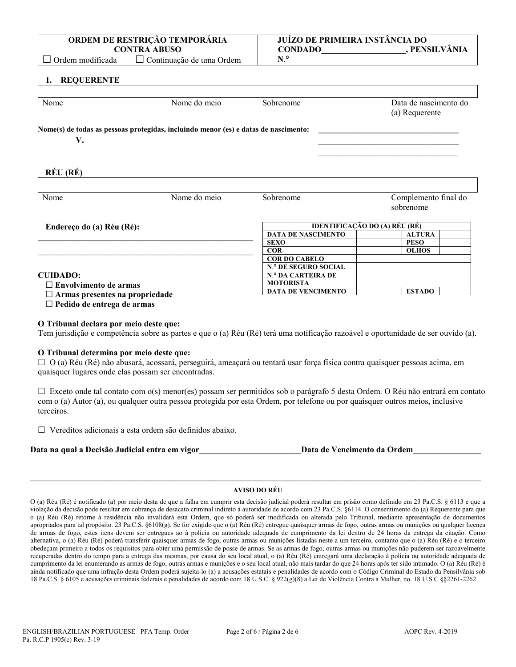### O (a) Réu (Ré) é notificado (a) por meio desta de que a falha em cumprir esta decisão judicial poderá resultar em prisão como definido em 23 Pa.C.S. § 6113 e que a violação da decisão pode resultar em cobrança de desacato criminal indireto à autoridade de acordo com 23 Pa.C.S. §6114. O consentimento do (a) Requerente para que o (a) Réu (Ré) retorne à residência não invalidará esta Ordem, que só poderá ser modificada ou alterada pelo Tribunal, mediante apresentação de documentos apropriados para tal propósito. 23 Pa.C.S. §6108(g). Se for exigido que o (a) Réu (Ré) entregue quaisquer armas de fogo, outras armas ou munições ou qualquer licença de armas de fogo, estes itens devem ser entregues ao à polícia ou autoridade adequada de cumprimento da lei dentro de 24 horas da entrega da citação. Como alternativa, o (a) Réu (Ré) poderá transferir quaisquer armas de fogo, outras armas ou munições listadas neste a um terceiro, contanto que o (a) Réu (Ré) e o terceiro obedeçam primeiro a todos os requisitos para obter uma permissão de posse de armas. Se as armas de fogo, outras armas ou munições não puderem ser razoavelmente recuperadas dentro do tempo para a entrega das mesmas, por causa do seu local atual, o (a) Réu (Ré) entregará uma declaração à polícia ou autoridade adequada de cumprimento da lei enumerando as armas de fogo, outras armas e munições e o seu local atual, não mais tardar do que 24 horas após ter sido intimado. O (a) Réu (Ré) é ainda notificado que uma infração desta Ordem poderá sujeita-lo (a) a acusações estatais e penalidades de acordo com o Código Criminal do Estado da Pensilvânia sob 18 Pa.C.S. § 6105 e acusações criminais federais e penalidades de acordo com 18 U.S.C. § 922(g)(8) a Lei de Violência Contra a Mulher, no. 18 U.S.C §§2261-2262.

# **O Tribunal determina por meio deste que:**

 **Armas presentes na propriedade Pedido de entrega de armas**

**O Tribunal declara por meio deste que:**

**Envolvimento de armas**

 $\Box$  O (a) Réu (Ré) não abusará, acossará, perseguirá, ameaçará ou tentará usar força física contra quaisquer pessoas acima, em quaisquer lugares onde elas possam ser encontradas.

Tem jurisdição e competência sobre as partes e que o (a) Réu (Ré) terá uma notificação razoável e oportunidade de ser ouvido (a).

 $\Box$  Exceto onde tal contato com  $o(s)$  menor(es) possam ser permitidos sob o parágrafo 5 desta Ordem. O Réu não entrará em contato com o (a) Autor (a), ou qualquer outra pessoa protegida por esta Ordem, por telefone ou por quaisquer outros meios, inclusive terceiros.

Vereditos adicionais a esta ordem são definidos abaixo.

**Data na qual a Decisão Judicial entra em vigor\_\_\_\_\_\_\_\_\_\_\_\_\_\_\_\_\_\_\_\_\_\_\_\_Data de Vencimento da Ordem\_\_\_\_\_\_\_\_\_\_\_\_\_\_\_\_** 

## **\_\_\_\_\_\_\_\_\_\_\_\_\_\_\_\_\_\_\_\_\_\_\_\_\_\_\_\_\_\_\_\_\_\_\_\_\_\_\_\_\_\_\_\_\_\_\_\_\_\_\_\_\_\_\_\_\_\_\_\_\_\_\_\_\_\_\_\_\_\_\_\_\_\_\_\_\_\_\_\_\_\_\_\_\_\_\_\_\_\_\_\_\_\_\_\_\_\_\_\_\_\_\_\_\_\_\_ AVISO DO RÉU**

**V.**  $\overline{\phantom{a}}$  $\mathcal{L}_\mathcal{L}$  , where  $\mathcal{L}_\mathcal{L}$  , we have the set of the set of the set of the set of the set of the set of the set of the set of the set of the set of the set of the set of the set of the set of the set of the set sobrenome **DATA DE NASCIMENTO ALTURA SEXO PESO COR OLHOS COR DO CABELO N**.º **DE SEGURO SOCIAL N**.º **DA CARTEIRA DE MOTORISTA \_\_\_\_\_\_\_\_\_\_\_\_\_\_\_\_\_\_\_\_\_\_\_\_\_\_\_\_\_\_\_\_\_\_\_\_\_\_\_\_\_\_\_\_\_\_\_\_\_\_\_ CUIDADO:**

# **1. REQUERENTE**

| <br><b>INEVUENER LE</b>                                                             |              |                               |                       |
|-------------------------------------------------------------------------------------|--------------|-------------------------------|-----------------------|
|                                                                                     |              |                               |                       |
| Nome                                                                                | Nome do meio | Sobrenome                     | Data de nascimento do |
|                                                                                     |              |                               | (a) Requerente        |
| Nome(s) de todas as pessoas protegidas, incluindo menor (es) e datas de nascimento: |              |                               |                       |
| V.                                                                                  |              |                               |                       |
|                                                                                     |              |                               |                       |
| RÉU (RÉ)                                                                            |              |                               |                       |
|                                                                                     |              |                               |                       |
| Nome                                                                                | Nome do meio | Sobrenome                     | Complemento final do  |
|                                                                                     |              |                               | sobrenome             |
| Endereço do (a) Réu (Ré):                                                           |              | IDENTIFICAÇÃO DO (A) RÉU (RÉ) |                       |
|                                                                                     |              | <b>DATA DE NASCIMENTO</b>     | <b>ALTURA</b>         |
|                                                                                     |              | <b>SEXO</b>                   | <b>PESO</b>           |
|                                                                                     |              | <b>COR</b>                    | <b>OLHOS</b>          |

**ORDEM DE RESTRIÇÃO TEMPORÁRIA CONTRA ABUSO**

Ordem modificada Continuação de uma Ordem

**DATA DE VENCIMENTO ESTADO**

**N**.º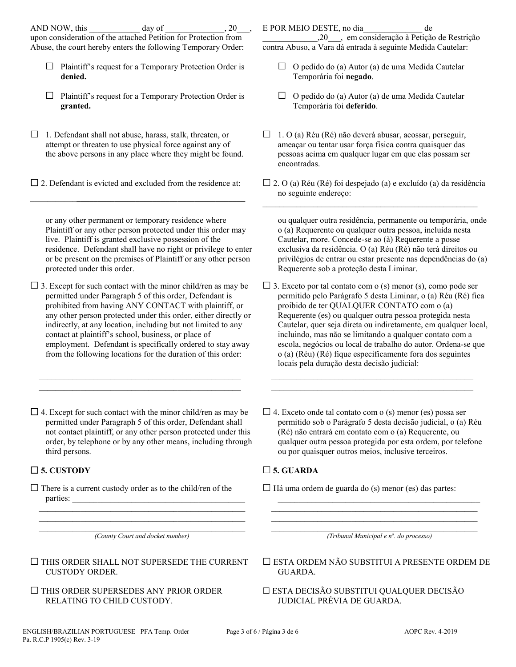upon consideration of the attached Petition for Protection from Abuse, the court hereby enters the following Temporary Order:

- $\Box$  Plaintiff's request for a Temporary Protection Order is **denied.**
- $\Box$  Plaintiff's request for a Temporary Protection Order is **granted.**
- $\Box$  1. Defendant shall not abuse, harass, stalk, threaten, or attempt or threaten to use physical force against any of the above persons in any place where they might be found.

 $\Box$  2. Defendant is evicted and excluded from the residence at: \_\_\_\_\_\_\_\_\_\_\_**\_\_\_\_\_\_\_\_\_\_\_\_\_\_\_\_\_\_\_\_\_\_\_\_\_\_\_\_\_\_\_\_\_\_\_\_\_\_\_\_**

or any other permanent or temporary residence where Plaintiff or any other person protected under this order may live. Plaintiff is granted exclusive possession of the residence. Defendant shall have no right or privilege to enter or be present on the premises of Plaintiff or any other person protected under this order.

 $\square$  3. Except for such contact with the minor child/ren as may be permitted under Paragraph 5 of this order, Defendant is prohibited from having ANY CONTACT with plaintiff, or any other person protected under this order, either directly or indirectly, at any location, including but not limited to any contact at plaintiff's school, business, or place of employment. Defendant is specifically ordered to stay away from the following locations for the duration of this order:

 $\square$  4. Except for such contact with the minor child/ren as may be permitted under Paragraph 5 of this order, Defendant shall not contact plaintiff, or any other person protected under this order, by telephone or by any other means, including through third persons.

 $\mathcal{L}_\text{max}$  and  $\mathcal{L}_\text{max}$  and  $\mathcal{L}_\text{max}$  and  $\mathcal{L}_\text{max}$  and  $\mathcal{L}_\text{max}$  $\mathcal{L}_\text{max}$  , and the set of the set of the set of the set of the set of the set of the set of the set of the set of the set of the set of the set of the set of the set of the set of the set of the set of the set of the

# **5. CUSTODY 5. GUARDA**

 $\Box$  There is a current custody order as to the child/ren of the parties:

 $\mathcal{L}_\text{max}$  and  $\mathcal{L}_\text{max}$  and  $\mathcal{L}_\text{max}$  and  $\mathcal{L}_\text{max}$  and  $\mathcal{L}_\text{max}$ *(County Court and docket number)*

 $\mathcal{L}_\text{max}$  , and the set of the set of the set of the set of the set of the set of the set of the set of the set of the set of the set of the set of the set of the set of the set of the set of the set of the set of the  $\mathcal{L}_\text{max}$  , and the set of the set of the set of the set of the set of the set of the set of the set of the set of the set of the set of the set of the set of the set of the set of the set of the set of the set of the

 $\Box$  THIS ORDER SHALL NOT SUPERSEDE THE CURRENT CUSTODY ORDER.

 $\Box$  THIS ORDER SUPERSEDES ANY PRIOR ORDER RELATING TO CHILD CUSTODY.

E POR MEIO DESTE, no dia\_\_\_\_\_\_\_\_\_\_\_\_\_\_ de

\_\_\_\_\_\_\_\_\_\_\_\_\_,20\_\_\_, em consideração à Petição de Restrição contra Abuso, a Vara dá entrada à seguinte Medida Cautelar:

- $\Box$  O pedido do (a) Autor (a) de uma Medida Cautelar Temporária foi **negado**.
- $\Box$  O pedido do (a) Autor (a) de uma Medida Cautelar Temporária foi **deferido**.
- $\Box$  1. O (a) Réu (Ré) não deverá abusar, acossar, perseguir, ameaçar ou tentar usar força física contra quaisquer das pessoas acima em qualquer lugar em que elas possam ser encontradas.
- $\Box$  2. O (a) Réu (Ré) foi despejado (a) e excluído (a) da residência no seguinte endereço:

**\_\_\_\_\_\_\_\_\_\_\_\_\_\_\_\_\_\_\_\_\_\_\_\_\_\_\_\_\_\_\_\_\_\_\_\_\_\_\_\_\_\_\_\_\_\_\_\_\_\_\_**

ou qualquer outra residência, permanente ou temporária, onde o (a) Requerente ou qualquer outra pessoa, incluída nesta Cautelar, more. Concede-se ao (à) Requerente a posse exclusiva da residência. O (a) Réu (Ré) não terá direitos ou privilégios de entrar ou estar presente nas dependências do (a) Requerente sob a proteção desta Liminar.

- $\Box$  3. Exceto por tal contato com o (s) menor (s), como pode ser permitido pelo Parágrafo 5 desta Liminar, o (a) Réu (Ré) fica proibido de ter QUALQUER CONTATO com o (a) Requerente (es) ou qualquer outra pessoa protegida nesta Cautelar, quer seja direta ou indiretamente, em qualquer local, incluindo, mas não se limitando a qualquer contato com a escola, negócios ou local de trabalho do autor. Ordena-se que o (a) (Réu) (Ré) fique especificamente fora dos seguintes locais pela duração desta decisão judicial:
- $\Box$  4. Exceto onde tal contato com o (s) menor (es) possa ser permitido sob o Parágrafo 5 desta decisão judicial, o (a) Réu (Ré) não entrará em contato com o (a) Requerente, ou qualquer outra pessoa protegida por esta ordem, por telefone ou por quaisquer outros meios, inclusive terceiros.

 $\mathcal{L}_\text{max}$  and  $\mathcal{L}_\text{max}$  and  $\mathcal{L}_\text{max}$  and  $\mathcal{L}_\text{max}$  and  $\mathcal{L}_\text{max}$  $\mathcal{L}_\text{max}$  , and the set of the set of the set of the set of the set of the set of the set of the set of the set of the set of the set of the set of the set of the set of the set of the set of the set of the set of the

 $\Box$  Há uma ordem de guarda do (s) menor (es) das partes:

\_\_\_\_\_\_\_\_\_\_\_\_\_\_\_\_\_\_\_\_\_\_\_\_\_\_\_\_\_\_\_\_\_\_\_\_\_\_\_\_\_\_\_\_\_\_\_\_\_ *(Tribunal Municipal e no . do processo)*

\_\_\_\_\_\_\_\_\_\_\_\_\_\_\_\_\_\_\_\_\_\_\_\_\_\_\_\_\_\_\_\_\_\_\_\_\_\_\_\_\_\_\_\_\_\_\_\_  $\overline{\phantom{a}}$  ,  $\overline{\phantom{a}}$  ,  $\overline{\phantom{a}}$  ,  $\overline{\phantom{a}}$  ,  $\overline{\phantom{a}}$  ,  $\overline{\phantom{a}}$  ,  $\overline{\phantom{a}}$  ,  $\overline{\phantom{a}}$  ,  $\overline{\phantom{a}}$  ,  $\overline{\phantom{a}}$  ,  $\overline{\phantom{a}}$  ,  $\overline{\phantom{a}}$  ,  $\overline{\phantom{a}}$  ,  $\overline{\phantom{a}}$  ,  $\overline{\phantom{a}}$  ,  $\overline{\phantom{a}}$ 

 ESTA ORDEM NÃO SUBSTITUI A PRESENTE ORDEM DE GUARDA.

 ESTA DECISÃO SUBSTITUI QUALQUER DECISÃO JUDICIAL PRÉVIA DE GUARDA.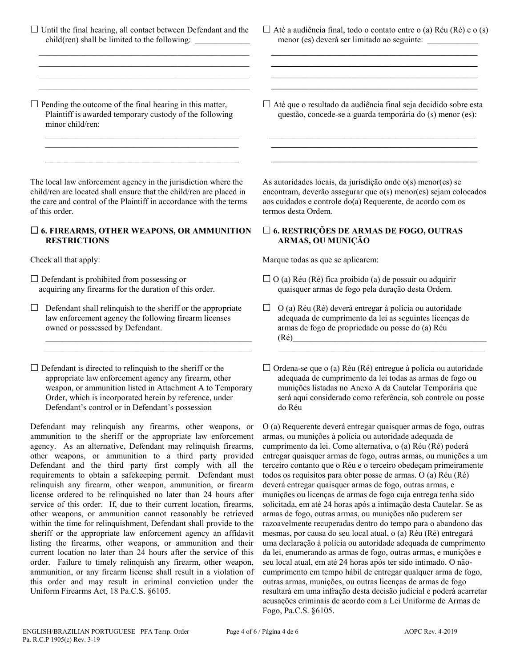$\Box$  Until the final hearing, all contact between Defendant and the  $child$ (ren) shall be limited to the following:

 $\mathcal{L}_\text{max}$  and  $\mathcal{L}_\text{max}$  and  $\mathcal{L}_\text{max}$  and  $\mathcal{L}_\text{max}$  and  $\mathcal{L}_\text{max}$  $\mathcal{L}_\text{max}$  , and the set of the set of the set of the set of the set of the set of the set of the set of the set of the set of the set of the set of the set of the set of the set of the set of the set of the set of the  $\mathcal{L}_\text{max}$  and  $\mathcal{L}_\text{max}$  and  $\mathcal{L}_\text{max}$  and  $\mathcal{L}_\text{max}$  and  $\mathcal{L}_\text{max}$  $\mathcal{L}_\text{max}$  , and the set of the set of the set of the set of the set of the set of the set of the set of the set of the set of the set of the set of the set of the set of the set of the set of the set of the set of the

 $\Box$  Pending the outcome of the final hearing in this matter, Plaintiff is awarded temporary custody of the following minor child/ren:

 $\_$  . The contribution of the contribution of  $\mathcal{L}_\mathcal{A}$  $\mathcal{L}_\mathcal{L}$  , which is a set of the set of the set of the set of the set of the set of the set of the set of the set of the set of the set of the set of the set of the set of the set of the set of the set of the set of  $\mathcal{L}_\mathcal{L}$  , which is a set of the set of the set of the set of the set of the set of the set of the set of the set of the set of the set of the set of the set of the set of the set of the set of the set of the set of

The local law enforcement agency in the jurisdiction where the child/ren are located shall ensure that the child/ren are placed in the care and control of the Plaintiff in accordance with the terms of this order.

## **6. FIREARMS, OTHER WEAPONS, OR AMMUNITION RESTRICTIONS**

 $\square$  Defendant is prohibited from possessing or acquiring any firearms for the duration of this order.

 $\Box$  Defendant shall relinquish to the sheriff or the appropriate law enforcement agency the following firearm licenses owned or possessed by Defendant.

\_\_\_\_\_\_\_\_\_\_\_\_\_\_\_\_\_\_\_\_\_\_\_\_\_\_\_\_\_\_\_\_\_\_\_\_\_\_\_\_\_\_\_\_\_\_\_\_\_ \_\_\_\_\_\_\_\_\_\_\_\_\_\_\_\_\_\_\_\_\_\_\_\_\_\_\_\_\_\_\_\_\_\_\_\_\_\_\_\_\_\_\_\_\_\_\_\_\_

 $\square$  Defendant is directed to relinquish to the sheriff or the appropriate law enforcement agency any firearm, other weapon, or ammunition listed in Attachment A to Temporary Order, which is incorporated herein by reference, under Defendant's control or in Defendant's possession

Defendant may relinquish any firearms, other weapons, or ammunition to the sheriff or the appropriate law enforcement agency. As an alternative, Defendant may relinquish firearms, other weapons, or ammunition to a third party provided Defendant and the third party first comply with all the requirements to obtain a safekeeping permit. Defendant must relinquish any firearm, other weapon, ammunition, or firearm license ordered to be relinquished no later than 24 hours after service of this order. If, due to their current location, firearms, other weapons, or ammunition cannot reasonably be retrieved within the time for relinquishment, Defendant shall provide to the sheriff or the appropriate law enforcement agency an affidavit listing the firearms, other weapons, or ammunition and their current location no later than 24 hours after the service of this order. Failure to timely relinquish any firearm, other weapon, ammunition, or any firearm license shall result in a violation of this order and may result in criminal conviction under the Uniform Firearms Act, 18 Pa.C.S. §6105.

 $\Box$  Até a audiência final, todo o contato entre o (a) Réu (Ré) e o (s) menor (es) deverá ser limitado ao seguinte: \_\_\_\_\_\_\_\_\_\_\_\_

 **\_\_\_\_\_\_\_\_\_\_\_\_\_\_\_\_\_\_\_\_\_\_\_\_\_\_\_\_\_\_\_\_\_\_\_\_\_\_\_\_\_\_\_\_\_\_\_\_\_ \_\_\_\_\_\_\_\_\_\_\_\_\_\_\_\_\_\_\_\_\_\_\_\_\_\_\_\_\_\_\_\_\_\_\_\_\_\_\_\_\_\_\_\_\_\_\_\_\_ \_\_\_\_\_\_\_\_\_\_\_\_\_\_\_\_\_\_\_\_\_\_\_\_\_\_\_\_\_\_\_\_\_\_\_\_\_\_\_\_\_\_\_\_\_\_\_\_\_ \_\_\_\_\_\_\_\_\_\_\_\_\_\_\_\_\_\_\_\_\_\_\_\_\_\_\_\_\_\_\_\_\_\_\_\_\_\_\_\_\_\_\_\_\_\_\_\_\_**

 Até que o resultado da audiência final seja decidido sobre esta questão, concede-se a guarda temporária do (s) menor (es):

 $\frac{1}{2}$  ,  $\frac{1}{2}$  ,  $\frac{1}{2}$  ,  $\frac{1}{2}$  ,  $\frac{1}{2}$  ,  $\frac{1}{2}$  ,  $\frac{1}{2}$  ,  $\frac{1}{2}$  ,  $\frac{1}{2}$  ,  $\frac{1}{2}$  ,  $\frac{1}{2}$  ,  $\frac{1}{2}$  ,  $\frac{1}{2}$  ,  $\frac{1}{2}$  ,  $\frac{1}{2}$  ,  $\frac{1}{2}$  ,  $\frac{1}{2}$  ,  $\frac{1}{2}$  ,  $\frac{1$  **\_\_\_\_\_\_\_\_\_\_\_\_\_\_\_\_\_\_\_\_\_\_\_\_\_\_\_\_\_\_\_\_\_\_\_\_\_\_\_\_\_\_\_\_\_\_\_\_\_ \_\_\_\_\_\_\_\_\_\_\_\_\_\_\_\_\_\_\_\_\_\_\_\_\_\_\_\_\_\_\_\_\_\_\_\_\_\_\_\_\_\_\_\_\_\_\_\_\_**

As autoridades locais, da jurisdição onde o(s) menor(es) se encontram, deverão assegurar que o(s) menor(es) sejam colocados aos cuidados e controle do(a) Requerente, de acordo com os termos desta Ordem.

### **6. RESTRIÇÕES DE ARMAS DE FOGO, OUTRAS ARMAS, OU MUNIÇÃO**

Check all that apply: Marque todas as que se aplicarem:

- $\Box$  O (a) Réu (Ré) fica proibido (a) de possuir ou adquirir quaisquer armas de fogo pela duração desta Ordem.
- $\Box$  O (a) Réu (Ré) deverá entregar à polícia ou autoridade adequada de cumprimento da lei as seguintes licenças de armas de fogo de propriedade ou posse do (a) Réu (Ré)\_\_\_\_\_\_\_\_\_\_\_\_\_\_\_\_\_\_\_\_\_\_\_\_\_\_\_\_\_\_\_\_\_\_\_\_\_\_\_\_\_\_\_\_\_\_

 $\Box$  Ordena-se que o (a) Réu (Ré) entregue à polícia ou autoridade adequada de cumprimento da lei todas as armas de fogo ou munições listadas no Anexo A da Cautelar Temporária que será aqui considerado como referência, sob controle ou posse do Réu

O (a) Requerente deverá entregar quaisquer armas de fogo, outras armas, ou munições à polícia ou autoridade adequada de cumprimento da lei. Como alternativa, o (a) Réu (Ré) poderá entregar quaisquer armas de fogo, outras armas, ou munições a um terceiro contanto que o Réu e o terceiro obedeçam primeiramente todos os requisitos para obter posse de armas. O (a) Réu (Ré) deverá entregar quaisquer armas de fogo, outras armas, e munições ou licenças de armas de fogo cuja entrega tenha sido solicitada, em até 24 horas após a intimação desta Cautelar. Se as armas de fogo, outras armas, ou munições não puderem ser razoavelmente recuperadas dentro do tempo para o abandono das mesmas, por causa do seu local atual, o (a) Réu (Ré) entregará uma declaração à polícia ou autoridade adequada de cumprimento da lei, enumerando as armas de fogo, outras armas, e munições e seu local atual, em até 24 horas após ter sido intimado. O nãocumprimento em tempo hábil de entregar qualquer arma de fogo, outras armas, munições, ou outras licenças de armas de fogo resultará em uma infração desta decisão judicial e poderá acarretar acusações criminais de acordo com a Lei Uniforme de Armas de Fogo, Pa.C.S. §6105.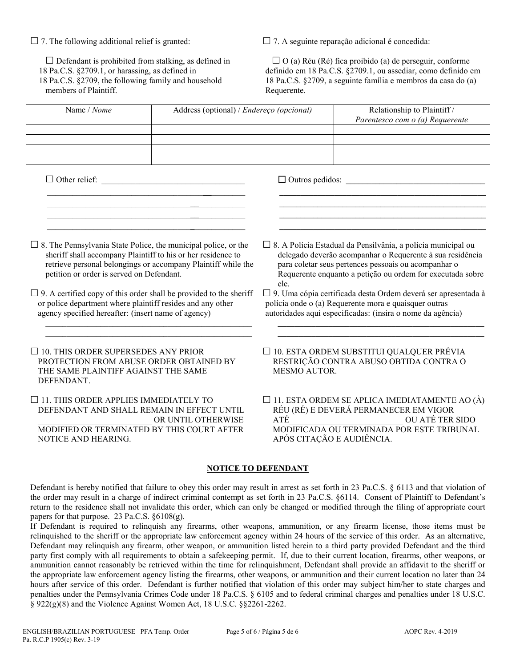$\square$  Defendant is prohibited from stalking, as defined in 18 Pa.C.S. §2709.1, or harassing, as defined in 18 Pa.C.S. §2709, the following family and household members of Plaintiff.

 $\Box$  7. The following additional relief is granted:  $\Box$  7. A seguinte reparação adicional é concedida:

 $\Box$  O (a) Réu (Ré) fica proibido (a) de perseguir, conforme definido em 18 Pa.C.S. §2709.1, ou assediar, como definido em 18 Pa.C.S. §2709, a seguinte família e membros da casa do (a) Requerente.

| Name / Nome                                                                                                                                                                                                                                                                                                                                                                                                                                           | Address (optional) / Endereço (opcional) |                                                                                                                                                                                                                                                                                                                                                                                                                                                     | Relationship to Plaintiff /<br>Parentesco com o (a) Requerente                                                                                                                                |  |
|-------------------------------------------------------------------------------------------------------------------------------------------------------------------------------------------------------------------------------------------------------------------------------------------------------------------------------------------------------------------------------------------------------------------------------------------------------|------------------------------------------|-----------------------------------------------------------------------------------------------------------------------------------------------------------------------------------------------------------------------------------------------------------------------------------------------------------------------------------------------------------------------------------------------------------------------------------------------------|-----------------------------------------------------------------------------------------------------------------------------------------------------------------------------------------------|--|
|                                                                                                                                                                                                                                                                                                                                                                                                                                                       |                                          |                                                                                                                                                                                                                                                                                                                                                                                                                                                     |                                                                                                                                                                                               |  |
| $\Box$ Other relief:                                                                                                                                                                                                                                                                                                                                                                                                                                  |                                          |                                                                                                                                                                                                                                                                                                                                                                                                                                                     | $\Box$ Outros pedidos:                                                                                                                                                                        |  |
| $\Box$ 8. The Pennsylvania State Police, the municipal police, or the<br>sheriff shall accompany Plaintiff to his or her residence to<br>retrieve personal belongings or accompany Plaintiff while the<br>petition or order is served on Defendant.<br>$\Box$ 9. A certified copy of this order shall be provided to the sheriff<br>or police department where plaintiff resides and any other<br>agency specified hereafter: (insert name of agency) |                                          | □ 8. A Polícia Estadual da Pensilvânia, a polícia municipal ou<br>delegado deverão acompanhar o Requerente à sua residência<br>para coletar seus pertences pessoais ou acompanhar o<br>Requerente enquanto a petição ou ordem for executada sobre<br>ele.<br>□ 9. Uma cópia certificada desta Ordem deverá ser apresentada à<br>polícia onde o (a) Requerente mora e quaisquer outras<br>autoridades aqui especificadas: (insira o nome da agência) |                                                                                                                                                                                               |  |
| $\Box$ 10. THIS ORDER SUPERSEDES ANY PRIOR<br>PROTECTION FROM ABUSE ORDER OBTAINED BY<br>THE SAME PLAINTIFF AGAINST THE SAME<br>DEFENDANT.                                                                                                                                                                                                                                                                                                            |                                          | □ 10. ESTA ORDEM SUBSTITUI QUALQUER PRÉVIA<br>RESTRIÇÃO CONTRA ABUSO OBTIDA CONTRA O<br><b>MESMO AUTOR.</b>                                                                                                                                                                                                                                                                                                                                         |                                                                                                                                                                                               |  |
| $\Box$ 11. THIS ORDER APPLIES IMMEDIATELY TO<br>DEFENDANT AND SHALL REMAIN IN EFFECT UNTIL<br>MODIFIED OR TERMINATED BY THIS COURT AFTER<br>NOTICE AND HEARING.                                                                                                                                                                                                                                                                                       | OR UNTIL OTHERWISE                       | ATÉ                                                                                                                                                                                                                                                                                                                                                                                                                                                 | $\square$ 11. ESTA ORDEM SE APLICA IMEDIATAMENTE AO (À)<br>RÉU (RÉ) E DEVERÁ PERMANECER EM VIGOR<br>OU ATÉ TER SIDO<br>MODIFICADA OU TERMINADA POR ESTE TRIBUNAL<br>APÓS CITAÇÃO E AUDIÊNCIA. |  |
|                                                                                                                                                                                                                                                                                                                                                                                                                                                       | <b>NOTICE TO DEFENDANT</b>               |                                                                                                                                                                                                                                                                                                                                                                                                                                                     |                                                                                                                                                                                               |  |

Defendant is hereby notified that failure to obey this order may result in arrest as set forth in 23 Pa.C.S. § 6113 and that violation of the order may result in a charge of indirect criminal contempt as set forth in 23 Pa.C.S. §6114. Consent of Plaintiff to Defendant's return to the residence shall not invalidate this order, which can only be changed or modified through the filing of appropriate court papers for that purpose. 23 Pa.C.S.  $\S6108(g)$ .

If Defendant is required to relinquish any firearms, other weapons, ammunition, or any firearm license, those items must be relinquished to the sheriff or the appropriate law enforcement agency within 24 hours of the service of this order. As an alternative, Defendant may relinquish any firearm, other weapon, or ammunition listed herein to a third party provided Defendant and the third party first comply with all requirements to obtain a safekeeping permit. If, due to their current location, firearms, other weapons, or ammunition cannot reasonably be retrieved within the time for relinquishment, Defendant shall provide an affidavit to the sheriff or the appropriate law enforcement agency listing the firearms, other weapons, or ammunition and their current location no later than 24 hours after service of this order. Defendant is further notified that violation of this order may subject him/her to state charges and penalties under the Pennsylvania Crimes Code under 18 Pa.C.S. § 6105 and to federal criminal charges and penalties under 18 U.S.C. § 922(g)(8) and the Violence Against Women Act, 18 U.S.C. §§2261-2262.